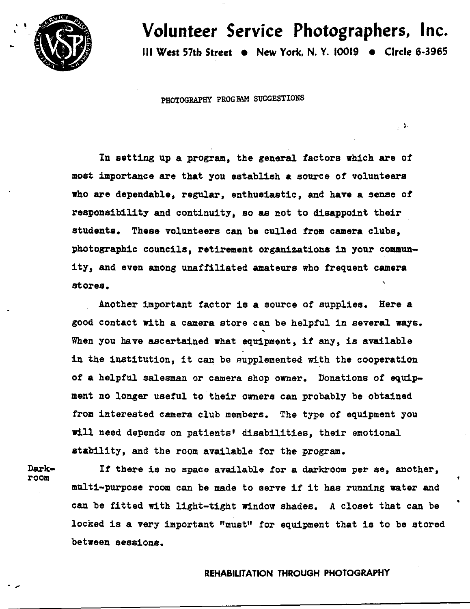

 $\mathbf{r}$ 

**Volunteer Service Photographers, Inc.**  Ill West 57th **Street** • **New York, N. Y.** 10019 • Circle 6-3965

 $\sim$ 

PHOTOGRAPHY PROGRAM SUGGESTIONS

In setting up a program, the general factors which are of most importance are that you establish **a** source of volunteers **who are** dependable, regular, enthusiastic, and have a sense of responsibility and continuity, so as not to disappoint their students. These volunteers can be culled **from camera** clubs, photographic councils, retirement organizations in your community, and even among unaffiliated amateurs who frequent camera stores.

Another important factor is a source of supplies. Here a good contact with a camera store can be helpful in several **ways.**  ' When you have ascertained what equipment, if any, is available in the institution, it can be supplemented with the cooperation of a helpful salesman or camera shop owner. Donations of equipment no longer useful to their owners can probably be obtained from interested camera club members. The type of equipment you will need depends on patients• disabilities, their emotional stability, and the room available for the program.

Darkroom

 $\cdot$  ,  $\cdot$ 

If there is no space available for a darkroom per se, another, multi-purpose room can be made to serve if it has running water and can be fitted with light-tight window shades. A closet that can be locked is a very important "must" for equipment that is to be stored **between** sessions.

# REHABILITATION THROUGH PHOTOGRAPHY

•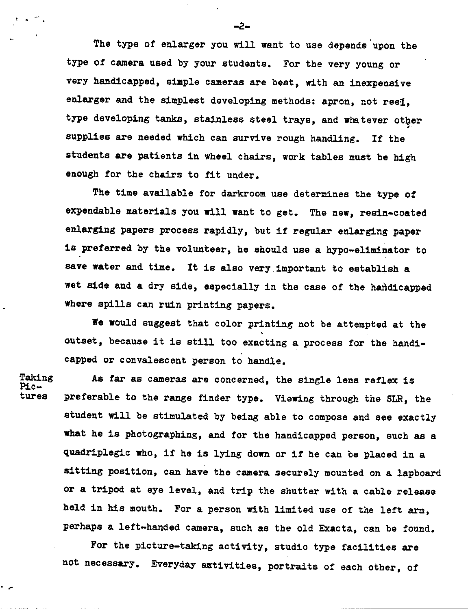The type of enlarger you will want to use depends upon the type of camera used by your students. For the very young or very handicapped, simple cameras are best, with an inexpensive enlarger and the simplest developing methods: apron, not reel. type developing tanks, stainless steel trays, and whatever other supplies are needed which can survive rough handling. If the students are patients in wheel chairs, work tables must be high enough for the chairs to fit under.

The time available for darkroom use determines the type of expendable materials you will want to get. The new, resin-coated enlarging papers process rapidly, but if regular enlarging paper is preferred by the volunteer, he should use a hypo-eliminator to save water and time. It is also very important to establish a wet side and a dry side, especially in the case of the handicapped where spills can ruin printing papers.

We would suggest that color printing not be attempted at the outset, because it is still too exacting a process for the handicapped or convalescent person to handle.

Taking and As far as cameras are concerned, the single lens reflex is  $Pic$ -<br>Pic-<br>tures a preferable to the range finder type. Wiewing through the SLP is preferable to the range finder type. Viewing through the SLR, the student will be stimulated by being able to compose and see exactly **what he** is photographing, and for the handicapped person, such as a quadriplegic **who,** if he is lying down or if he can be placed in a sitting position, can have the camera securely mounted on a lapboard or a tripod at eye level, and trip the shutter with a cable release held in his mouth. For a person with limited use of the left arm, perhaps a left-handed camera, such as the old Exacta, can be found.

For the picture-taking activity, studio type facilities are not necessary. Everyday astivities, portraits of each other, of

 $\ddot{\phantom{0}}$ 

-2-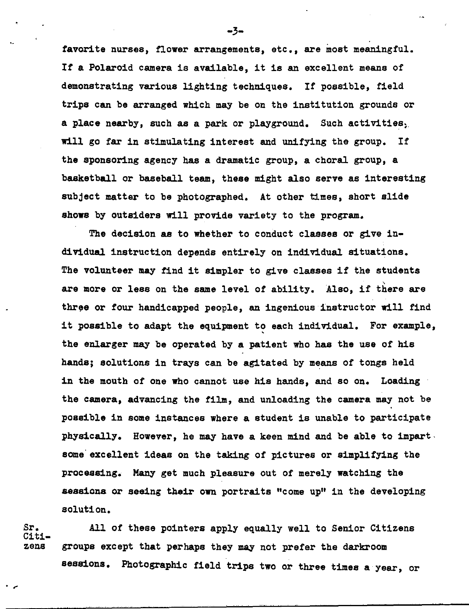favorite nurses, flower arrangements, etc., are most meaningful. If a Polaroid camera is available, it is an excellent means of demonstrating various lighting techniques. If possible, field trips can be arranged which may be on the institution grounds or a place nearby, such as a park or playground. Such activities, will go far in stimulating interest and unifying the group. If the sponsoring agency has a dramatic group, a choral group, a basketball or baseball team, these might also serve as interesting subject matter to be photographed. At other times, short slide **shows** by outsiders will provide variety to the program.

The decision as to whether to conduct classes or give individual instruction depends entirely on individual situations. The volunteer may find it simpler to give classes if the students are more or less on the same level of ability. Also, if there are three or four handicapped people, an ingenious instructor will find it possible to adapt the equipment to each individual. For example, the enlarger may be operated by **a** patient who has the use of his hands; solutions in trays can be agitated by means of tongs held in the mouth of one who cannot use his hands, and so on. Loading the **camera,** advancing the film, and unloading the camera may not be possible in some instances where a student is unable to participate physically. However, he may have a keen mind and be able to impartsome' excellent ideas on the taking of pictures or simplifying the processing. Many get much pleasure out of merely watching the **sessions** or seeing their own portraits "come up" in the developing solution.

Citi-

 $\ddot{\phantom{0}}$ 

Sr. All of these pointers apply equally well to Senior Citizens zens groups except that perhaps they may not prefer the darkroom sessions. Photographic field trips two or three times a year, or

-3-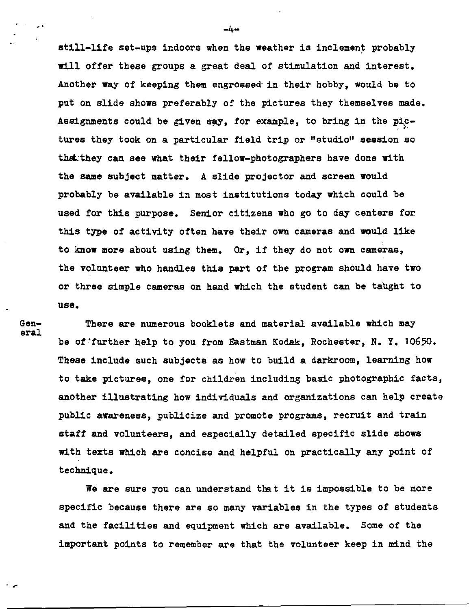still-life set-ups indoors when the weather is inclement probably will offer these groups a great deal of stimulation and interest. Another way of keeping them engrossed· in their hobby, would be to put on slide shows preferably *of* the pictures they themselves made. Assignments could be given say, for example, to bring in the pictures they took on a particular field trip or "studio" session so th&:they can see what their fellow-photographers have done with the same subject matter. A slide projector and screen would probably be available in most institutions today which could be used for this purpose. Senior citizens who go to day centers for this type of activity often have their own cameras and would like to know more about using them. Or, if they do not own cameras, the volunteer who handles this part of' the program should have two or three simple cameras on hand which the student can be taught to use.

 $\cdot$  -

Gen- There are numerous booklets and material available which may<br>eral be of'further help to you from Eastman Kodak, Rochester, N. Y. 10650. These include such subjects as how to build a darkroom, learning how to take pictures, one for children including basic photographic facts, another illustrating how individuals and organizations can help create public awareness, publicize and promote programs, recruit and train staff and volunteers, and especially detailed specific slide shows with texts which are concise and helpful on practically any point of technique.

We are sure you can understand that it is impossible to be more specific because there are so many variables in the types of students and the facilities and equipment which are available. Some of the important points to remember are that the volunteer keep in mind the

-. -4-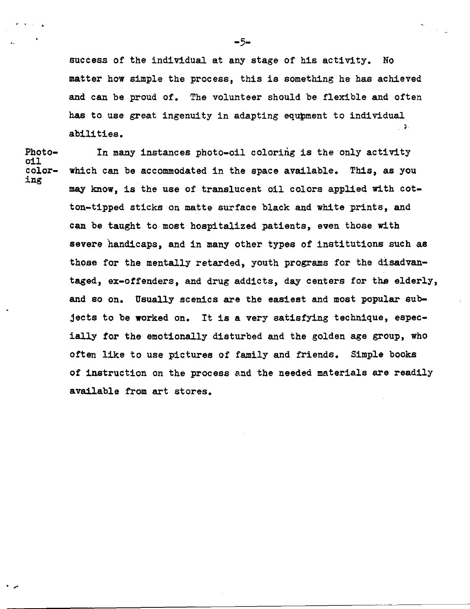success of the individual at any stage of his activity. No matter how simple the process, this is something he has achieved and can be proud of. The volunteer should be flexible and often has to use great ingenuity in adapting equpment to individual  $\sim 10$ abilities.

Photo- In many instances photo-oil coloring is the only activity<br>oil<br>color- which can be accommodated in the space available. This, as you color- which can be accommodated in the space available.<br>ing may **know,** is the use of translucent oil colors applied with cotton-tipped sticks on matte surface black and white prints, and can be taught to most hospitalized patients, even those with severe handicaps, and in many other types of institutions such as those for the mentally retarded, youth programs for the disadvantaged, ex-offenders, and drug addicts, day centers for the elderly, and so on. Usually scenics are the easiest and most popular subjects to be **worked** on. It is a very satisfying technique, especially for the emotionally disturbed and the golden age group, who often like to use pictures of family and friends. Simple books of instruction on the process and the needed materials are readily available from art stores.

 $-5-$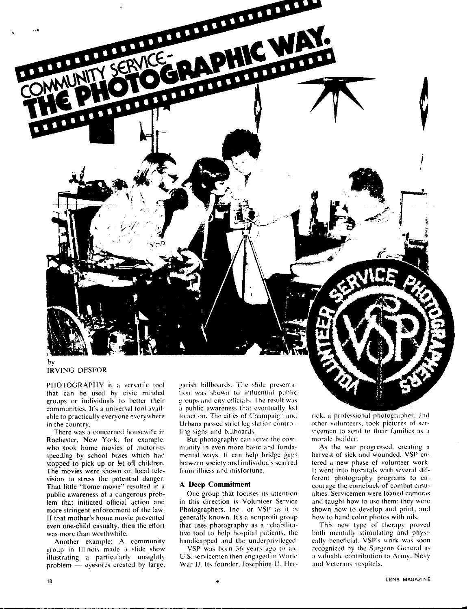

IRVING DESFOR

PHOTOGRAPHY is a versatile tool that can be used by civic minded groups or individuals to hetter their communities. It's a universal tool available to practically everyone everywhere in the country.

There was a concerned housewife in Rochester, New York, for example. who took home movies of motorists speeding by school buses which had stopped to pick up or let off children. The movies were shown on local television to stress the potential danger. That little "home movie'' resulted in a puhlic awareness of a dangerous problem that initiated official action and more stringent enforcement of the law. If that mother's home movie prevented even one-child casualty, then the effort was more than worthwhile.

Another example: A community group in Illinois made a slide show illustrating a particularly unsightly problem  $-$  eyesores created by large.

garish billboards. The slide presentation was shown to influential public groups and city officials. The result was a public awareness that eventually led to action. The cities of Champaign and Urbana passed strict legislation controlling signs and billboards.

But photography can serve the community in even more basic and fundamental ways. It can help bridge gaps; between society and individuals scarred from illness and misfortune.

#### **A Deep Commitment**

•

One group that focuses its attention in this direction is Volunteer Service Photographers. Inc., or VSP as it is generally known. It's a nonprofit group that uses photography as a rehabilitative tool to help hospital patients, the handicapped and the underprivileged.

VSP was born 36 years ago to aid U.S. servicemen then engaged in World War II. Its founder, Josephine U. Herrick. a professional photographer. and other volunteers, took pictures of servicemen to send to their families as a morale builder.

As the war progressed, creating a harvest of sick and wounded, VSP entered a new phase of volunteer work. It went into hospitals with several different photography programs to encourage the comeback of combat casualties. Servicemen were loaned cameras and taught how to use them: they were shown how to develop and print; and how to hand color photos with oils.

This new type of therapy proved both mentally stimulating and physically beneficial. VSP's work was soon recognized by the Surgeon General as a valuable contribution to Army, Navy and Veterans hospitals.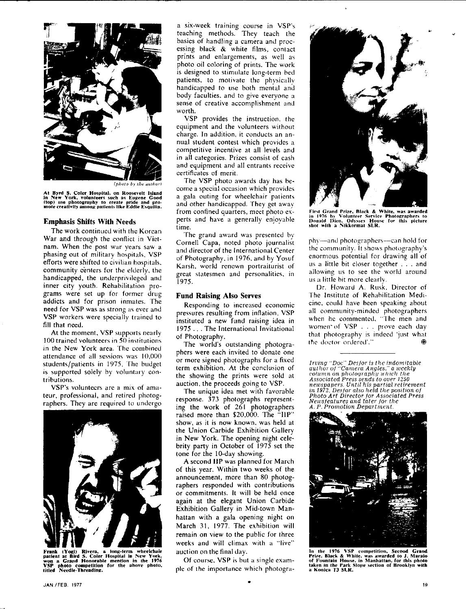

*<i><i><u>Inhoto by the author*</u>

At Byrd S. Coler Hospital, on Roosevelt Island<br>in New York, volunteers such as Eugene Good ltop) use photography to create pride and pro-<br>mote creativity among patients like Eddie Esquilin.

#### **Emphasis Shifts With Needs**

The work continued with the Korean War and through the conflict in Vietnam. When the post war years saw a phasing out of military hospitals, VSP efforts were shifted to civilian hospitals. community centers for the elderly. the handicapped, the underprivileged and inner city youth. Rehabilitation programs were set up for former drug addicts and for prison inmates. The need for VSP was as strong as ever and VSP workers were specially trained to fill that need.

At the moment, VSP supports nearly 100 trained volunteers in 50 institutions in the New York area. The combined attendance of all sessions was 10,000 students/patients in 1975. The budget is supported solely by voluntary contributions.

VSP's volunteers are a mix of amateur, professional, and retired photographers. They are required to undergo



Frank (Yogi) Rivera, a long-term wheelchair<br>patlent at Bird S. Coler Hospital in New York,<br>won a Grand Honorable mention in the 1976<br>VSP photo competition for the above photo,<br>titled Needle-Threading.

a six-week training course in VSP's teaching methods. They teach the basics of handling a camera and processing black & white films, contact prints and enlargements, as well as photo oil coloring of prints. The work is designed to stimulate long-term bed patients. to motivate the physically handicapped to use both mental and body faculties. and to give everyone a sense of creative accomplishment and worth.

VSP provides the instruction, the equipment and the volunteers without charge. In addition, it conducts an annual student contest which provides a competitive incentive at all levels and in all categories. Prizes consist of cash and equipment and all entrants receive certificates of merit.

The VSP photo awards day has become a special occasion which provides a gala outing for wheelchair patients and other handicapped. They get away from confined quarters, meet photo experts and have a generally enjoyable time.

The grand award was presented hy Cornell Capa, noted photo journalist and director of the International Center of Photography. in 1976. and by Yosuf Karsh, world renown portraiturist of great statesmen and personalities. in 1975.

#### **Fund Raising Also Serves**

Responding to increased economic pressures resulting from inflation. VSP instituted a new fund raising idea in 1975 ... The International Invitational of Photography.

The world's outstanding photographers were each invited to donate one or more signed photographs for a fixed term exhibition. At the conclusion of the showing the prints were sold at auction, the proceeds going to VSP.

The unique idea met with favorable response. 373 photographs representing the work of 261 photographers raised more than  $$20,000$ . The  $~^{\circ}$ HP" show, as it is now known, was held at the Union Carbide Exhibition Gallery in New York. The opening night celebrity party in October of 1975 set the tone for the 10-day showing.

A second IIP was planned for March of this year. Within two weeks of the announcement, more than 80 photographers responded with contributions or commitments. It will be held once again at the elegant Union Carbide Exhibition Gallery in Mid-town Manhattan with a gala opening night on March 31, 1977. The exhibition will remain on view to the public for three weeks and will climax with a "live" auction on the final day.

Of course. VSP is hut a single example of the importance which photogra-

•



First Grand Prize, Black & White, was awarded<br>in 1976 hy Volunteer Service Photographers to<br>Donald Dien, Odyssey House for this picture<br>shot with a Nikkormat SLR.

phy-and photographers--can hold for the community. It shows photography's enormous potential for drawing all of us a little bit closer together .. and allowing us to see the world around us a little hit more clearlv.

Dr. Howard A. Rusk. Director of The Institute of Rehahilitation Medicine. could have been speaking about all community-minded photographers when he commented, "The men and women of VSP . . . prove each day that photography is indeed 'just what the doctor ordered'."

Irving ''Doc'' Desfor is the indomitat<br>author of ''Camera Angles.'' a weekly<br>column on photography which the Associated Press sends to over 1250<br>newspapers. Until his partial retiremen<br>in 1972, Desfor also held the position of<br>Photo Art Director for Associated Press<br>Newsfeatures and later for the<br>A. P. Promotion Department.



the 1976 VSP competition, Second Grand Prize, Black & White. was awarded to J. Maralo of Fountain House, in Manhaltan, for this photo taken in the Park Slope section of Brooklyn with a Konica TJ SLR.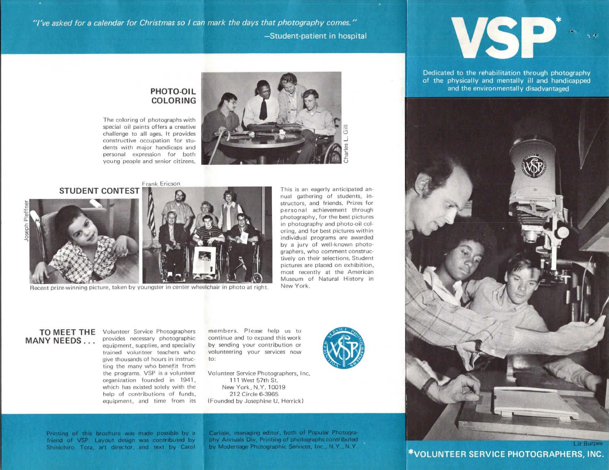"I've asked for a calendar for Christmas so I can mark the days that photography comes." -Student-patient in hospital

# **PHOTO-OIL COLORING**

The coloring of photographs with special oil paints offers a creative challenge to all ages. It provides constructive occupation for students with major handicaps and personal expression for both young· people and senior citizens.



 $\overline{5}$ .J es -;:

Frank Ericson **STUDENT CONTEST** 



Recent prize-winning picture, taken by youngster in center wheelchair in photo at right.

This is an eagerly anticipated annual gathering of students, instructors, and friends. Prizes for personal achievement through photography, for the best pictures in photography and photo-oil col• oring, and for best pictures within individual programs are awarded by a jury of well-known photographers, who comment constructively on their selections. Student pictures are placed on exhibition, most recently at the American Museum of Natural History in New York.

### **TO MEET THE**  Volunteer Service Photographers **MANY NEEDS ...**

provides necessary photographic equipment, supplies, and specially trained volunteer teachers who give thousands of hours in instructing the many who benefit from the programs. VSP is a volunteer organization founded in 1941, which has existed solely with the help of contributions of funds, equipment, and time from its members. Please help us to continue and to expand this work by sending your contribution or volunteering your services now to:

Volunteer Service Photographers, Inc. 111 West 57th St. New York, N.Y. 10019 212 Circle 6-3965 (Founded by Josephine U. Herrick)





Dedicated to the rehabilitation through photography of the physically and mentally ill and handicapped and the environmentally disadvantaged



Printing of this brochure was made possible by a friend of VSP. Lavout design was contributed by Shinichiro Tora, art director, and text by Carol Carlisle, managing editor, both of Popular Photography Annuals Div, Printing of photographs contributed by Modernage Photographic Services, Inc., N.Y., N.Y.

\*VOLUNTEER SERVICE PHOTOGRAPHERS, INC.